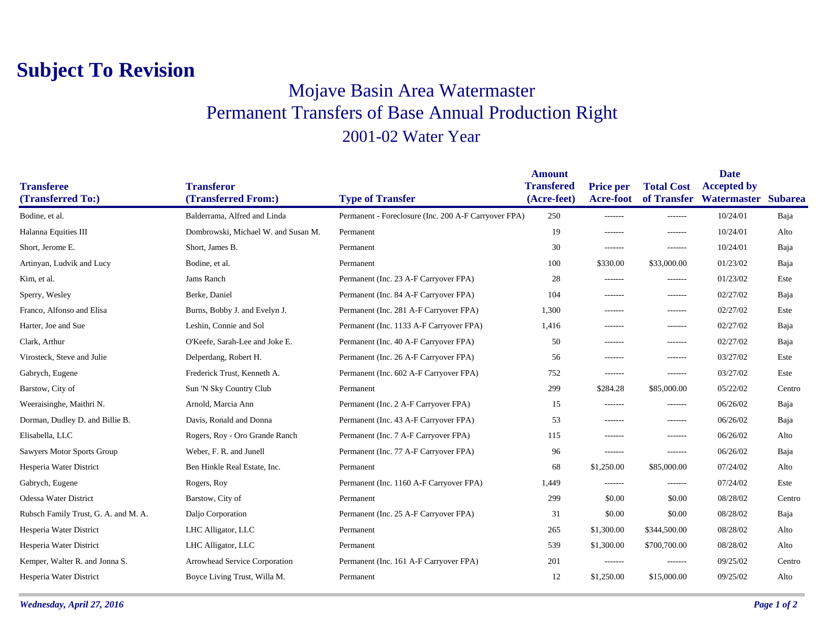## **Subject To Revision**

## Mojave Basin Area Watermaster Permanent Transfers of Base Annual Production Right 2001-02 Water Year

| <b>Transfered</b> | <b>Price per</b>   |                   |                    |                                     |
|-------------------|--------------------|-------------------|--------------------|-------------------------------------|
|                   |                    | <b>Total Cost</b> | <b>Accepted by</b> | <b>Subarea</b>                      |
|                   |                    |                   |                    |                                     |
|                   | -------            | -------           |                    | Baja                                |
| 19                | -------            | -------           | 10/24/01           | Alto                                |
| 30                | -------            | -------           | 10/24/01           | Baja                                |
| 100               | \$330.00           | \$33,000.00       | 01/23/02           | Baja                                |
| 28                | -------            | -------           | 01/23/02           | Este                                |
| 104               | $- - - - - - -$    | $-----$           | 02/27/02           | Baja                                |
| 1,300             | -------            | $-----$           | 02/27/02           | Este                                |
| 1,416             | -------            | $- - - - - - -$   | 02/27/02           | Baja                                |
| 50                | --------           | $- - - - - - -$   | 02/27/02           | Baja                                |
| 56                | -------            | -------           | 03/27/02           | Este                                |
| 752               | $- - - - - - -$    | $- - - - - - -$   | 03/27/02           | Este                                |
| 299               | \$284.28           | \$85,000.00       | 05/22/02           | Centro                              |
| 15                | -------            | -------           | 06/26/02           | Baja                                |
| 53                | -------            | -------           | 06/26/02           | Baja                                |
| 115               | $- - - - - - -$    | $- - - - - - -$   | 06/26/02           | Alto                                |
| 96                | $- - - - - - -$    | $- - - - - - -$   | 06/26/02           | Baja                                |
| 68                | \$1,250.00         | \$85,000.00       | 07/24/02           | Alto                                |
| 1,449             | -------            | $-----$           | 07/24/02           | Este                                |
| 299               | \$0.00             | \$0.00            | 08/28/02           | Centro                              |
| 31                | \$0.00             | \$0.00            | 08/28/02           | Baja                                |
| 265               | \$1,300.00         | \$344,500.00      | 08/28/02           | Alto                                |
| 539               | \$1,300.00         | \$700,700.00      | 08/28/02           | Alto                                |
| 201               | -------            | $-----1$          | 09/25/02           | Centro                              |
| 12                | \$1,250.00         | \$15,000.00       | 09/25/02           | Alto                                |
|                   | (Acre-feet)<br>250 | <b>Acre-foot</b>  |                    | of Transfer Watermaster<br>10/24/01 |